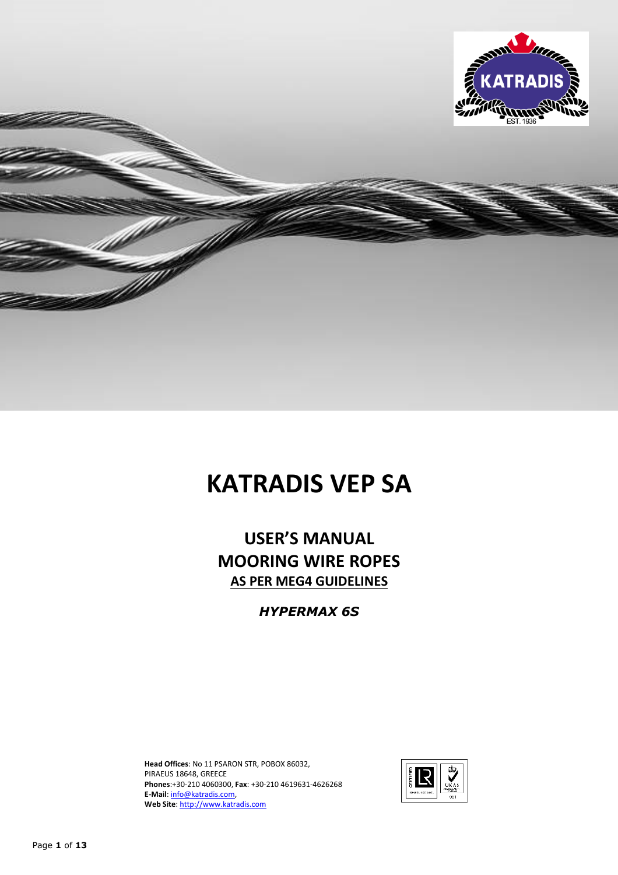

# **KATRADIS VEP SA**

**USER'S MANUAL MOORING WIRE ROPES AS PER MEG4 GUIDELINES** 

*HYPERMAX 6S* 

**Head Offices**: No 11 PSARON STR, POBOX 86032, PIRAEUS 18648, GREECE **Phones**:+30-210 4060300, **Fax**: +30-210 4619631-4626268 **E-Mail**: info@katradis.com, **Web Site**: http://www.katradis.com

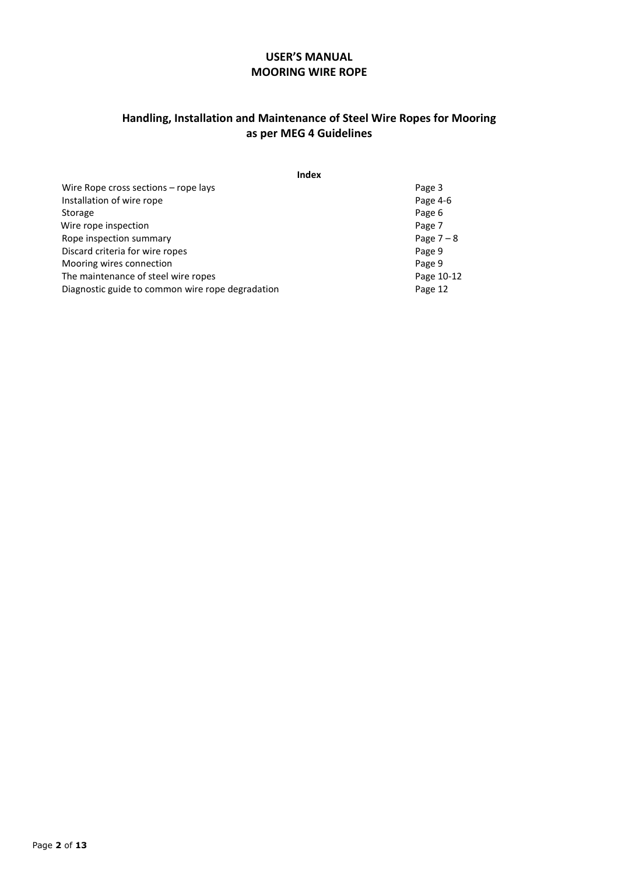# **USER'S MANUAL MOORING WIRE ROPE**

### **Handling, Installation and Maintenance of Steel Wire Ropes for Mooring as per MEG 4 Guidelines**

| <b>Index</b>                                     |            |
|--------------------------------------------------|------------|
| Wire Rope cross sections – rope lays             | Page 3     |
| Installation of wire rope                        | Page 4-6   |
| Storage                                          | Page 6     |
| Wire rope inspection                             | Page 7     |
| Rope inspection summary                          | Page $7-8$ |
| Discard criteria for wire ropes                  | Page 9     |
| Mooring wires connection                         | Page 9     |
| The maintenance of steel wire ropes              | Page 10-12 |
| Diagnostic guide to common wire rope degradation | Page 12    |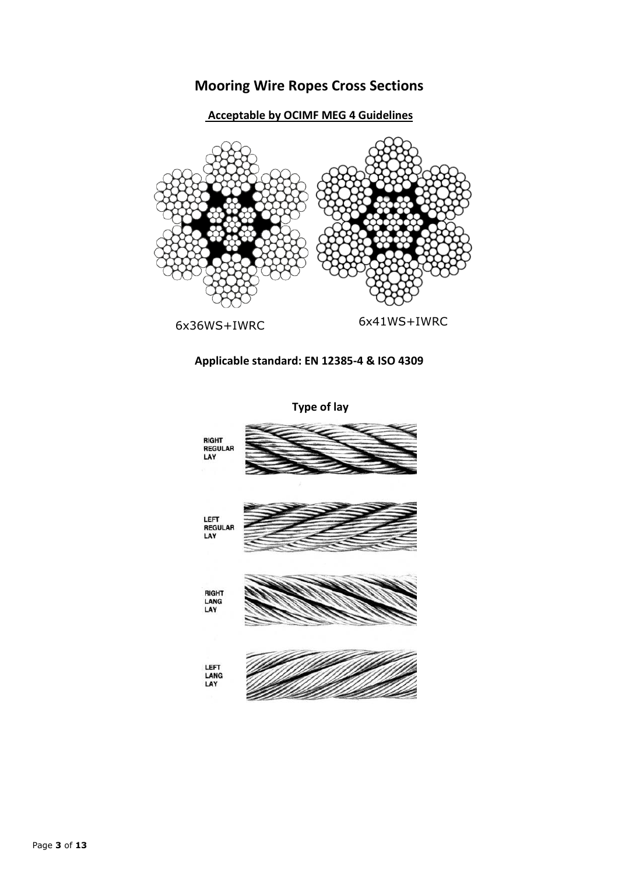# **Mooring Wire Ropes Cross Sections**

# **Acceptable by OCIMF MEG 4 Guidelines**



# **Applicable standard: EN 12385-4 & ISO 4309**



 **Type of lay**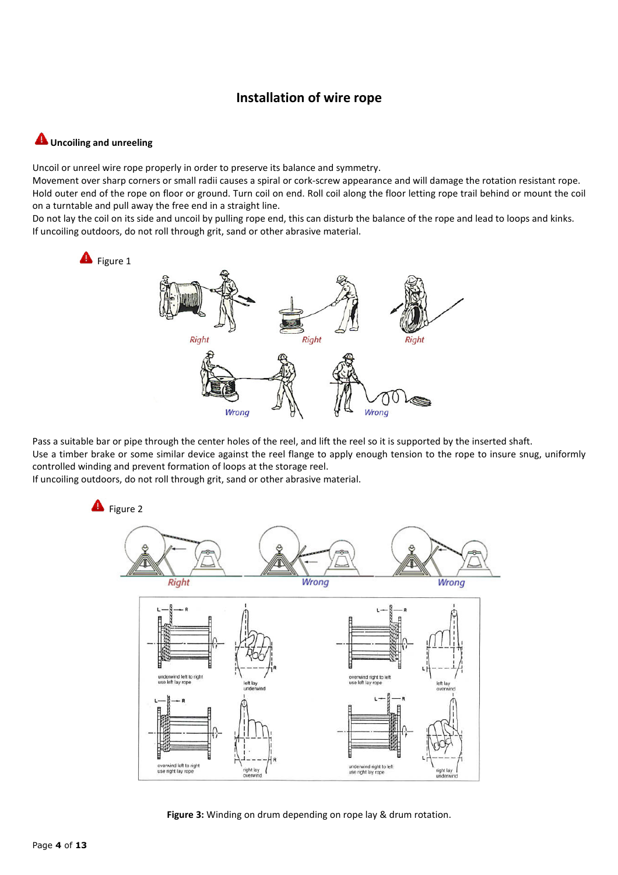# **Installation of wire rope**

#### **Uncoiling and unreeling**

Uncoil or unreel wire rope properly in order to preserve its balance and symmetry.

Movement over sharp corners or small radii causes a spiral or cork-screw appearance and will damage the rotation resistant rope. Hold outer end of the rope on floor or ground. Turn coil on end. Roll coil along the floor letting rope trail behind or mount the coil on a turntable and pull away the free end in a straight line.

Do not lay the coil on its side and uncoil by pulling rope end, this can disturb the balance of the rope and lead to loops and kinks. If uncoiling outdoors, do not roll through grit, sand or other abrasive material.



Pass a suitable bar or pipe through the center holes of the reel, and lift the reel so it is supported by the inserted shaft. Use a timber brake or some similar device against the reel flange to apply enough tension to the rope to insure snug, uniformly controlled winding and prevent formation of loops at the storage reel.

If uncoiling outdoors, do not roll through grit, sand or other abrasive material.



**Figure 3:** Winding on drum depending on rope lay & drum rotation.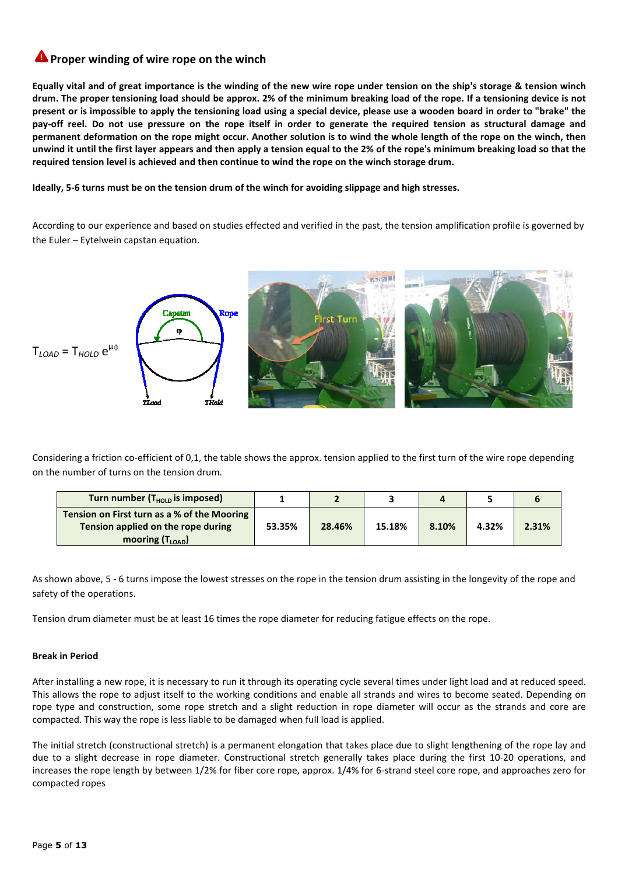# **A** Proper winding of wire rope on the winch

**Equally vital and of great importance is the winding of the new wire rope under tension on the ship's storage & tension winch drum. The proper tensioning load should be approx. 2% of the minimum breaking load of the rope. If a tensioning device is not present or is impossible to apply the tensioning load using a special device, please use a wooden board in order to "brake" the pay-off reel. Do not use pressure on the rope itself in order to generate the required tension as structural damage and permanent deformation on the rope might occur. Another solution is to wind the whole length of the rope on the winch, then unwind it until the first layer appears and then apply a tension equal to the 2% of the rope's minimum breaking load so that the required tension level is achieved and then continue to wind the rope on the winch storage drum.** 

**Ideally, 5-6 turns must be on the tension drum of the winch for avoiding slippage and high stresses.** 

According to our experience and based on studies effected and verified in the past, the tension amplification profile is governed by the Euler – Eytelwein capstan equation.



Considering a friction co-efficient of 0,1, the table shows the approx. tension applied to the first turn of the wire rope depending on the number of turns on the tension drum.

| Turn number $(THOLD$ is imposed)                                                                                 |        |        |        |       |       |       |
|------------------------------------------------------------------------------------------------------------------|--------|--------|--------|-------|-------|-------|
| Tension on First turn as a % of the Mooring<br>Tension applied on the rope during<br>mooring $(T_{\text{LOAD}})$ | 53.35% | 28.46% | 15.18% | 8.10% | 4.32% | 2.31% |

As shown above, 5 - 6 turns impose the lowest stresses on the rope in the tension drum assisting in the longevity of the rope and safety of the operations.

Tension drum diameter must be at least 16 times the rope diameter for reducing fatigue effects on the rope.

#### **Break in Period**

After installing a new rope, it is necessary to run it through its operating cycle several times under light load and at reduced speed. This allows the rope to adjust itself to the working conditions and enable all strands and wires to become seated. Depending on rope type and construction, some rope stretch and a slight reduction in rope diameter will occur as the strands and core are compacted. This way the rope is less liable to be damaged when full load is applied.

The initial stretch (constructional stretch) is a permanent elongation that takes place due to slight lengthening of the rope lay and due to a slight decrease in rope diameter. Constructional stretch generally takes place during the first 10-20 operations, and increases the rope length by between 1/2% for fiber core rope, approx. 1/4% for 6-strand steel core rope, and approaches zero for compacted ropes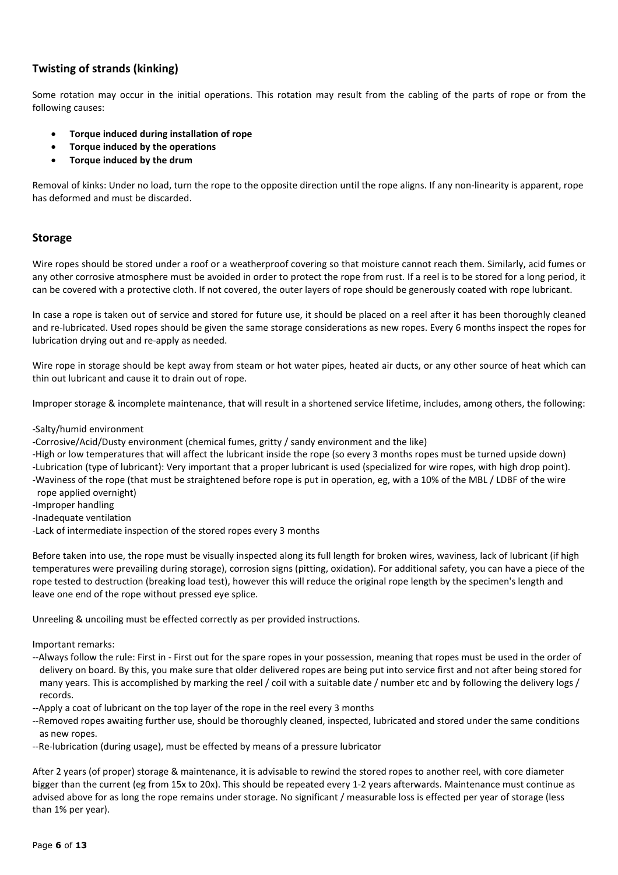### **Twisting of strands (kinking)**

Some rotation may occur in the initial operations. This rotation may result from the cabling of the parts of rope or from the following causes:

- **Torque induced during installation of rope**
- **Torque induced by the operations**
- **Torque induced by the drum**

Removal of kinks: Under no load, turn the rope to the opposite direction until the rope aligns. If any non-linearity is apparent, rope has deformed and must be discarded.

#### **Storage**

Wire ropes should be stored under a roof or a weatherproof covering so that moisture cannot reach them. Similarly, acid fumes or any other corrosive atmosphere must be avoided in order to protect the rope from rust. If a reel is to be stored for a long period, it can be covered with a protective cloth. If not covered, the outer layers of rope should be generously coated with rope lubricant.

In case a rope is taken out of service and stored for future use, it should be placed on a reel after it has been thoroughly cleaned and re-lubricated. Used ropes should be given the same storage considerations as new ropes. Every 6 months inspect the ropes for lubrication drying out and re-apply as needed.

Wire rope in storage should be kept away from steam or hot water pipes, heated air ducts, or any other source of heat which can thin out lubricant and cause it to drain out of rope.

Improper storage & incomplete maintenance, that will result in a shortened service lifetime, includes, among others, the following:

#### -Salty/humid environment

-Corrosive/Acid/Dusty environment (chemical fumes, gritty / sandy environment and the like)

-High or low temperatures that will affect the lubricant inside the rope (so every 3 months ropes must be turned upside down) -Lubrication (type of lubricant): Very important that a proper lubricant is used (specialized for wire ropes, with high drop point).

-Waviness of the rope (that must be straightened before rope is put in operation, eg, with a 10% of the MBL / LDBF of the wire rope applied overnight)

-Improper handling

-Inadequate ventilation

-Lack of intermediate inspection of the stored ropes every 3 months

Before taken into use, the rope must be visually inspected along its full length for broken wires, waviness, lack of lubricant (if high temperatures were prevailing during storage), corrosion signs (pitting, oxidation). For additional safety, you can have a piece of the rope tested to destruction (breaking load test), however this will reduce the original rope length by the specimen's length and leave one end of the rope without pressed eye splice.

Unreeling & uncoiling must be effected correctly as per provided instructions.

Important remarks:

- --Always follow the rule: First in First out for the spare ropes in your possession, meaning that ropes must be used in the order of delivery on board. By this, you make sure that older delivered ropes are being put into service first and not after being stored for many years. This is accomplished by marking the reel / coil with a suitable date / number etc and by following the delivery logs / records.
- --Apply a coat of lubricant on the top layer of the rope in the reel every 3 months
- --Removed ropes awaiting further use, should be thoroughly cleaned, inspected, lubricated and stored under the same conditions as new ropes.
- --Re-lubrication (during usage), must be effected by means of a pressure lubricator

After 2 years (of proper) storage & maintenance, it is advisable to rewind the stored ropes to another reel, with core diameter bigger than the current (eg from 15x to 20x). This should be repeated every 1-2 years afterwards. Maintenance must continue as advised above for as long the rope remains under storage. No significant / measurable loss is effected per year of storage (less than 1% per year).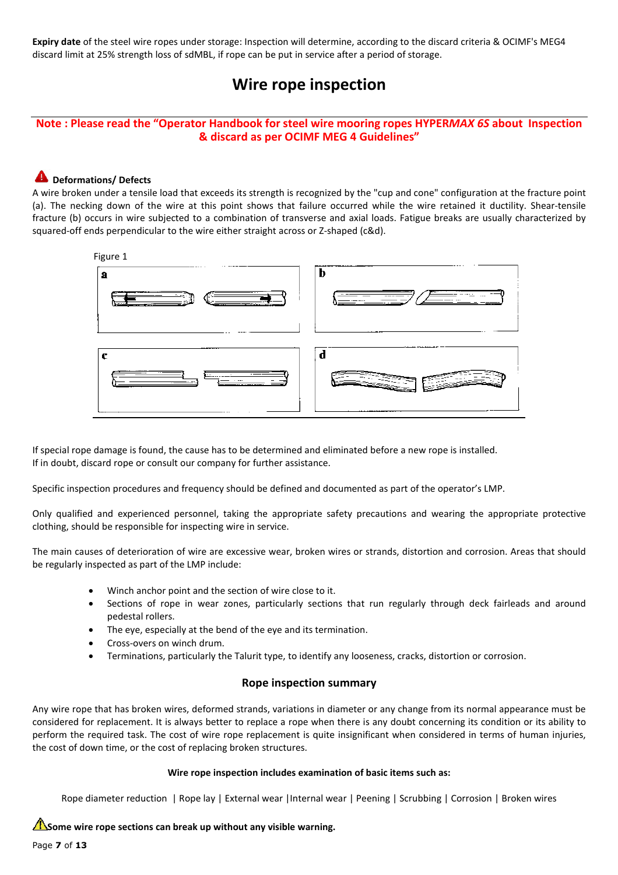**Expiry date** of the steel wire ropes under storage: Inspection will determine, according to the discard criteria & OCIMF's MEG4 discard limit at 25% strength loss of sdMBL, if rope can be put in service after a period of storage.

# **Wire rope inspection**

#### **Note : Please read the "Operator Handbook for steel wire mooring ropes HYPER***MAX 6S* **about Inspection & discard as per OCIMF MEG 4 Guidelines"**

#### **A** Deformations/ Defects

A wire broken under a tensile load that exceeds its strength is recognized by the "cup and cone" configuration at the fracture point (a). The necking down of the wire at this point shows that failure occurred while the wire retained it ductility. Shear-tensile fracture (b) occurs in wire subjected to a combination of transverse and axial loads. Fatigue breaks are usually characterized by squared-off ends perpendicular to the wire either straight across or Z-shaped (c&d).



If special rope damage is found, the cause has to be determined and eliminated before a new rope is installed. If in doubt, discard rope or consult our company for further assistance.

Specific inspection procedures and frequency should be defined and documented as part of the operator's LMP.

Only qualified and experienced personnel, taking the appropriate safety precautions and wearing the appropriate protective clothing, should be responsible for inspecting wire in service.

The main causes of deterioration of wire are excessive wear, broken wires or strands, distortion and corrosion. Areas that should be regularly inspected as part of the LMP include:

- Winch anchor point and the section of wire close to it.
- Sections of rope in wear zones, particularly sections that run regularly through deck fairleads and around pedestal rollers.
- The eye, especially at the bend of the eye and its termination.
- Cross-overs on winch drum.
- Terminations, particularly the Talurit type, to identify any looseness, cracks, distortion or corrosion.

#### **Rope inspection summary**

Any wire rope that has broken wires, deformed strands, variations in diameter or any change from its normal appearance must be considered for replacement. It is always better to replace a rope when there is any doubt concerning its condition or its ability to perform the required task. The cost of wire rope replacement is quite insignificant when considered in terms of human injuries, the cost of down time, or the cost of replacing broken structures.

#### **Wire rope inspection includes examination of basic items such as:**

Rope diameter reduction | Rope lay | External wear |Internal wear | Peening | Scrubbing | Corrosion | Broken wires

Some wire rope sections can break up without any visible warning.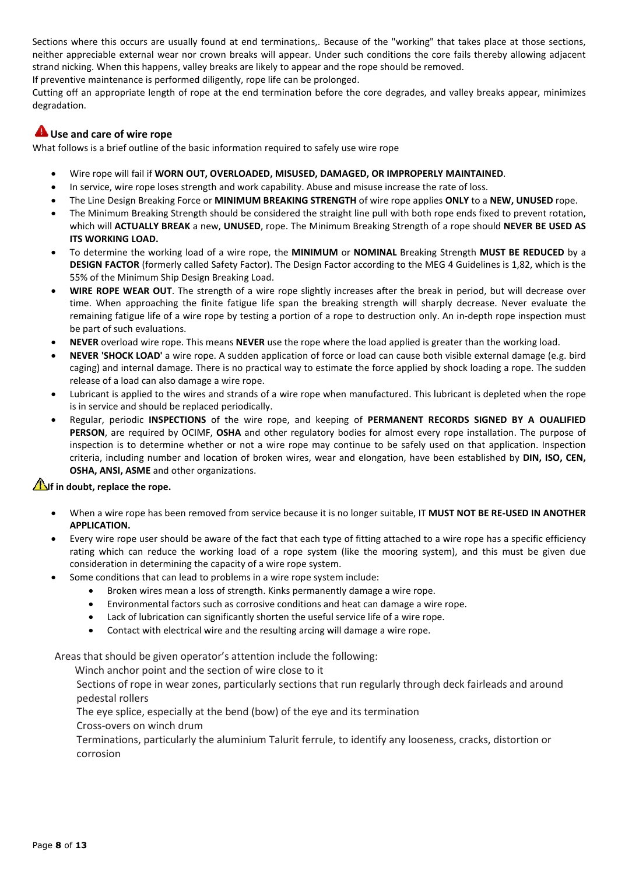Sections where this occurs are usually found at end terminations,. Because of the "working" that takes place at those sections, neither appreciable external wear nor crown breaks will appear. Under such conditions the core fails thereby allowing adjacent strand nicking. When this happens, valley breaks are likely to appear and the rope should be removed.

If preventive maintenance is performed diligently, rope life can be prolonged.

Cutting off an appropriate length of rope at the end termination before the core degrades, and valley breaks appear, minimizes degradation.

#### **Use and care of wire rope**

What follows is a brief outline of the basic information required to safely use wire rope

- Wire rope will fail if **WORN OUT, OVERLOADED, MISUSED, DAMAGED, OR IMPROPERLY MAINTAINED**.
- In service, wire rope loses strength and work capability. Abuse and misuse increase the rate of loss.
- The Line Design Breaking Force or **MINIMUM BREAKING STRENGTH** of wire rope applies **ONLY** to a **NEW, UNUSED** rope.
- The Minimum Breaking Strength should be considered the straight line pull with both rope ends fixed to prevent rotation, which will **ACTUALLY BREAK** a new, **UNUSED**, rope. The Minimum Breaking Strength of a rope should **NEVER BE USED AS ITS WORKING LOAD.**
- To determine the working load of a wire rope, the **MINIMUM** or **NOMINAL** Breaking Strength **MUST BE REDUCED** by a **DESIGN FACTOR** (formerly called Safety Factor). The Design Factor according to the MEG 4 Guidelines is 1,82, which is the 55% of the Minimum Ship Design Breaking Load.
- **WIRE ROPE WEAR OUT**. The strength of a wire rope slightly increases after the break in period, but will decrease over time. When approaching the finite fatigue life span the breaking strength will sharply decrease. Never evaluate the remaining fatigue life of a wire rope by testing a portion of a rope to destruction only. An in-depth rope inspection must be part of such evaluations.
- **NEVER** overload wire rope. This means **NEVER** use the rope where the load applied is greater than the working load.
- **NEVER 'SHOCK LOAD'** a wire rope. A sudden application of force or load can cause both visible external damage (e.g. bird caging) and internal damage. There is no practical way to estimate the force applied by shock loading a rope. The sudden release of a load can also damage a wire rope.
- Lubricant is applied to the wires and strands of a wire rope when manufactured. This lubricant is depleted when the rope is in service and should be replaced periodically.
- Regular, periodic **INSPECTIONS** of the wire rope, and keeping of **PERMANENT RECORDS SIGNED BY A OUALIFIED PERSON**, are required by OCIMF, **OSHA** and other regulatory bodies for almost every rope installation. The purpose of inspection is to determine whether or not a wire rope may continue to be safely used on that application. Inspection criteria, including number and location of broken wires, wear and elongation, have been established by **DIN, ISO, CEN, OSHA, ANSI, ASME** and other organizations.

#### **If in doubt, replace the rope.**

- When a wire rope has been removed from service because it is no longer suitable, IT **MUST NOT BE RE-USED IN ANOTHER APPLICATION.**
- Every wire rope user should be aware of the fact that each type of fitting attached to a wire rope has a specific efficiency rating which can reduce the working load of a rope system (like the mooring system), and this must be given due consideration in determining the capacity of a wire rope system.
- Some conditions that can lead to problems in a wire rope system include:
	- Broken wires mean a loss of strength. Kinks permanently damage a wire rope.
	- Environmental factors such as corrosive conditions and heat can damage a wire rope.
	- Lack of lubrication can significantly shorten the useful service life of a wire rope.
	- Contact with electrical wire and the resulting arcing will damage a wire rope.

Areas that should be given operator's attention include the following:

Winch anchor point and the section of wire close to it

Sections of rope in wear zones, particularly sections that run regularly through deck fairleads and around pedestal rollers

The eye splice, especially at the bend (bow) of the eye and its termination

Cross-overs on winch drum

Terminations, particularly the aluminium Talurit ferrule, to identify any looseness, cracks, distortion or corrosion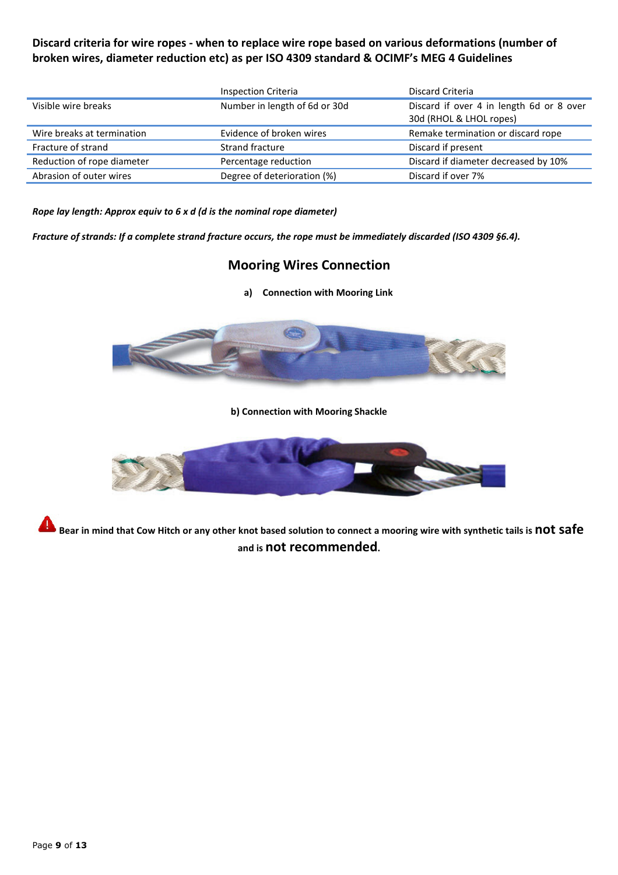# **Discard criteria for wire ropes - when to replace wire rope based on various deformations (number of broken wires, diameter reduction etc) as per ISO 4309 standard & OCIMF's MEG 4 Guidelines**

|                            | Inspection Criteria           | Discard Criteria                                                    |
|----------------------------|-------------------------------|---------------------------------------------------------------------|
| Visible wire breaks        | Number in length of 6d or 30d | Discard if over 4 in length 6d or 8 over<br>30d (RHOL & LHOL ropes) |
| Wire breaks at termination | Evidence of broken wires      | Remake termination or discard rope                                  |
| Fracture of strand         | Strand fracture               | Discard if present                                                  |
| Reduction of rope diameter | Percentage reduction          | Discard if diameter decreased by 10%                                |
| Abrasion of outer wires    | Degree of deterioration (%)   | Discard if over 7%                                                  |

#### *Rope lay length: Approx equiv to 6 x d (d is the nominal rope diameter)*

*Fracture of strands: If a complete strand fracture occurs, the rope must be immediately discarded (ISO 4309 §6.4).* 

# **Mooring Wires Connection**

**a) Connection with Mooring Link** 



**b) Connection with Mooring Shackle** 



**Bear in mind that Cow Hitch or any other knot based solution to connect a mooring wire with synthetic tails is not safe and is not recommended.**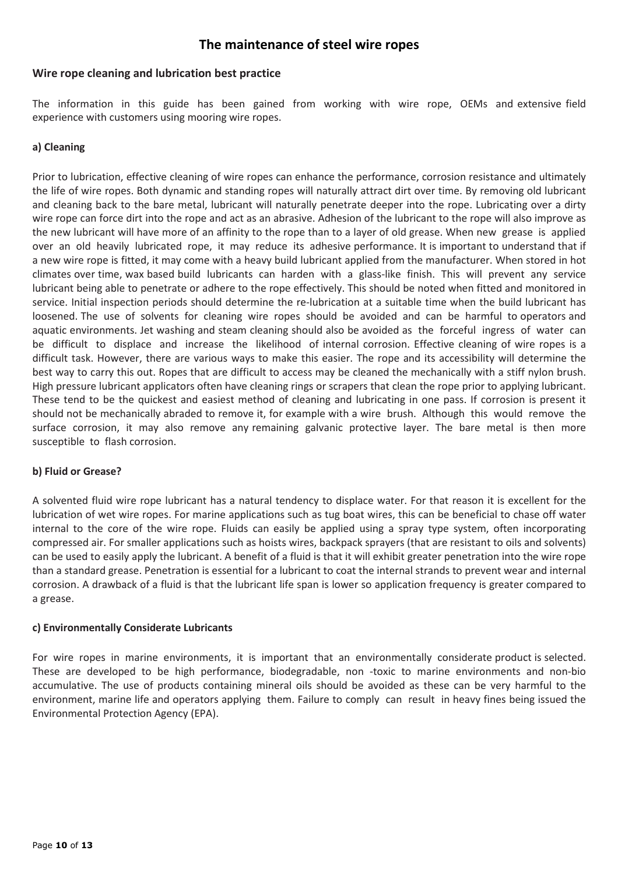# **The maintenance of steel wire ropes**

#### **Wire rope cleaning and lubrication best practice**

The information in this guide has been gained from working with wire rope, OEMs and extensive field experience with customers using mooring wire ropes.

#### **a) Cleaning**

Prior to lubrication, effective cleaning of wire ropes can enhance the performance, corrosion resistance and ultimately the life of wire ropes. Both dynamic and standing ropes will naturally attract dirt over time. By removing old lubricant and cleaning back to the bare metal, lubricant will naturally penetrate deeper into the rope. Lubricating over a dirty wire rope can force dirt into the rope and act as an abrasive. Adhesion of the lubricant to the rope will also improve as the new lubricant will have more of an affinity to the rope than to a layer of old grease. When new grease is applied over an old heavily lubricated rope, it may reduce its adhesive performance. It is important to understand that if a new wire rope is fitted, it may come with a heavy build lubricant applied from the manufacturer. When stored in hot climates over time, wax based build lubricants can harden with a glass-like finish. This will prevent any service lubricant being able to penetrate or adhere to the rope effectively. This should be noted when fitted and monitored in service. Initial inspection periods should determine the re-lubrication at a suitable time when the build lubricant has loosened. The use of solvents for cleaning wire ropes should be avoided and can be harmful to operators and aquatic environments. Jet washing and steam cleaning should also be avoided as the forceful ingress of water can be difficult to displace and increase the likelihood of internal corrosion. Effective cleaning of wire ropes is a difficult task. However, there are various ways to make this easier. The rope and its accessibility will determine the best way to carry this out. Ropes that are difficult to access may be cleaned the mechanically with a stiff nylon brush. High pressure lubricant applicators often have cleaning rings or scrapers that clean the rope prior to applying lubricant. These tend to be the quickest and easiest method of cleaning and lubricating in one pass. If corrosion is present it should not be mechanically abraded to remove it, for example with a wire brush. Although this would remove the surface corrosion, it may also remove any remaining galvanic protective layer. The bare metal is then more susceptible to flash corrosion.

#### **b) Fluid or Grease?**

A solvented fluid wire rope lubricant has a natural tendency to displace water. For that reason it is excellent for the lubrication of wet wire ropes. For marine applications such as tug boat wires, this can be beneficial to chase off water internal to the core of the wire rope. Fluids can easily be applied using a spray type system, often incorporating compressed air. For smaller applications such as hoists wires, backpack sprayers (that are resistant to oils and solvents) can be used to easily apply the lubricant. A benefit of a fluid is that it will exhibit greater penetration into the wire rope than a standard grease. Penetration is essential for a lubricant to coat the internal strands to prevent wear and internal corrosion. A drawback of a fluid is that the lubricant life span is lower so application frequency is greater compared to a grease.

#### **c) Environmentally Considerate Lubricants**

For wire ropes in marine environments, it is important that an environmentally considerate product is selected. These are developed to be high performance, biodegradable, non -toxic to marine environments and non-bio accumulative. The use of products containing mineral oils should be avoided as these can be very harmful to the environment, marine life and operators applying them. Failure to comply can result in heavy fines being issued the Environmental Protection Agency (EPA).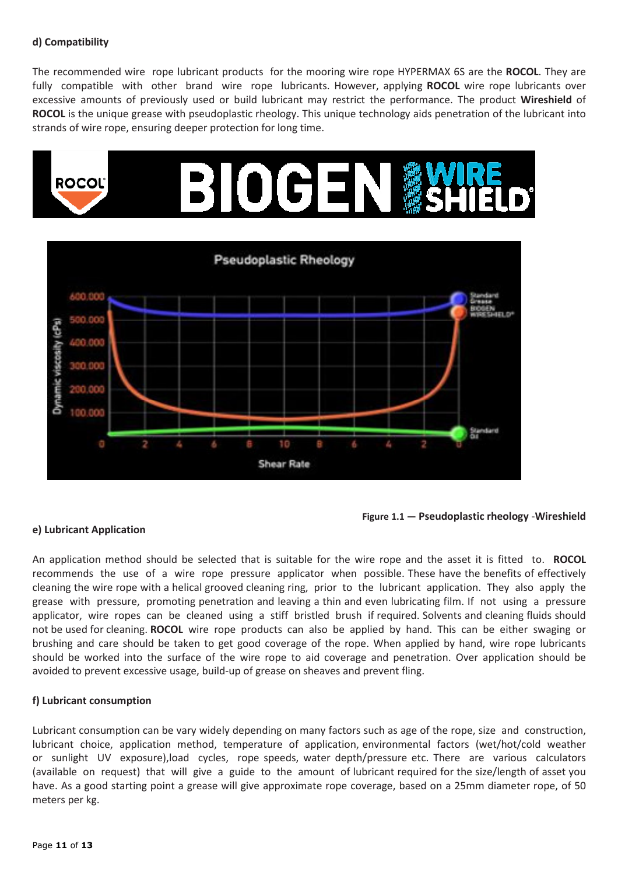#### **d) Compatibility**

The recommended wire rope lubricant products for the mooring wire rope HYPERMAX 6S are the **ROCOL**. They are fully compatible with other brand wire rope lubricants. However, applying **ROCOL** wire rope lubricants over excessive amounts of previously used or build lubricant may restrict the performance. The product **Wireshield** of **ROCOL** is the unique grease with pseudoplastic rheology. This unique technology aids penetration of the lubricant into strands of wire rope, ensuring deeper protection for long time.



**Figure 1.1 — Pseudoplastic rheology** -**Wireshield**

#### **e) Lubricant Application**

An application method should be selected that is suitable for the wire rope and the asset it is fitted to. **ROCOL**  recommends the use of a wire rope pressure applicator when possible. These have the benefits of effectively cleaning the wire rope with a helical grooved cleaning ring, prior to the lubricant application. They also apply the grease with pressure, promoting penetration and leaving a thin and even lubricating film. If not using a pressure applicator, wire ropes can be cleaned using a stiff bristled brush if required. Solvents and cleaning fluids should not be used for cleaning. **ROCOL** wire rope products can also be applied by hand. This can be either swaging or brushing and care should be taken to get good coverage of the rope. When applied by hand, wire rope lubricants should be worked into the surface of the wire rope to aid coverage and penetration. Over application should be avoided to prevent excessive usage, build-up of grease on sheaves and prevent fling.

#### **f) Lubricant consumption**

Lubricant consumption can be vary widely depending on many factors such as age of the rope, size and construction, lubricant choice, application method, temperature of application, environmental factors (wet/hot/cold weather or sunlight UV exposure),load cycles, rope speeds, water depth/pressure etc. There are various calculators (available on request) that will give a guide to the amount of lubricant required for the size/length of asset you have. As a good starting point a grease will give approximate rope coverage, based on a 25mm diameter rope, of 50 meters per kg.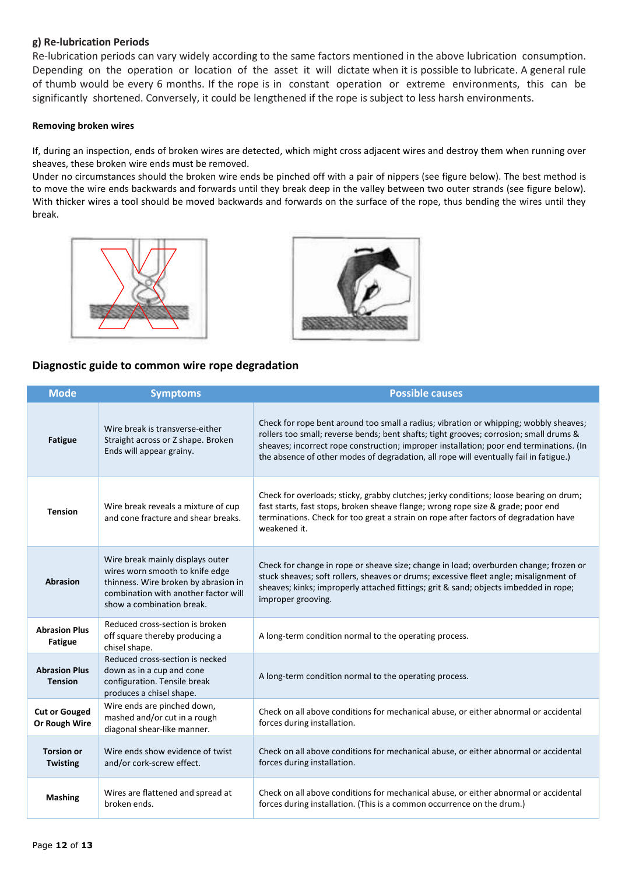#### **g) Re-lubrication Periods**

Re-lubrication periods can vary widely according to the same factors mentioned in the above lubrication consumption. Depending on the operation or location of the asset it will dictate when it is possible to lubricate. A general rule of thumb would be every 6 months. If the rope is in constant operation or extreme environments, this can be significantly shortened. Conversely, it could be lengthened if the rope is subject to less harsh environments.

#### **Removing broken wires**

If, during an inspection, ends of broken wires are detected, which might cross adjacent wires and destroy them when running over sheaves, these broken wire ends must be removed.

Under no circumstances should the broken wire ends be pinched off with a pair of nippers (see figure below). The best method is to move the wire ends backwards and forwards until they break deep in the valley between two outer strands (see figure below). With thicker wires a tool should be moved backwards and forwards on the surface of the rope, thus bending the wires until they break.





#### **Diagnostic guide to common wire rope degradation**

| <b>Mode</b>                            | <b>Symptoms</b>                                                                                                                                                                  | <b>Possible causes</b>                                                                                                                                                                                                                                                                                                                                              |
|----------------------------------------|----------------------------------------------------------------------------------------------------------------------------------------------------------------------------------|---------------------------------------------------------------------------------------------------------------------------------------------------------------------------------------------------------------------------------------------------------------------------------------------------------------------------------------------------------------------|
| <b>Fatigue</b>                         | Wire break is transverse-either<br>Straight across or Z shape. Broken<br>Ends will appear grainy.                                                                                | Check for rope bent around too small a radius; vibration or whipping; wobbly sheaves;<br>rollers too small; reverse bends; bent shafts; tight grooves; corrosion; small drums &<br>sheaves; incorrect rope construction; improper installation; poor end terminations. (In<br>the absence of other modes of degradation, all rope will eventually fail in fatigue.) |
| <b>Tension</b>                         | Wire break reveals a mixture of cup<br>and cone fracture and shear breaks.                                                                                                       | Check for overloads; sticky, grabby clutches; jerky conditions; loose bearing on drum;<br>fast starts, fast stops, broken sheave flange; wrong rope size & grade; poor end<br>terminations. Check for too great a strain on rope after factors of degradation have<br>weakened it.                                                                                  |
| <b>Abrasion</b>                        | Wire break mainly displays outer<br>wires worn smooth to knife edge<br>thinness. Wire broken by abrasion in<br>combination with another factor will<br>show a combination break. | Check for change in rope or sheave size; change in load; overburden change; frozen or<br>stuck sheaves; soft rollers, sheaves or drums; excessive fleet angle; misalignment of<br>sheaves; kinks; improperly attached fittings; grit & sand; objects imbedded in rope;<br>improper grooving.                                                                        |
| <b>Abrasion Plus</b><br><b>Fatigue</b> | Reduced cross-section is broken<br>off square thereby producing a<br>chisel shape.                                                                                               | A long-term condition normal to the operating process.                                                                                                                                                                                                                                                                                                              |
| <b>Abrasion Plus</b><br><b>Tension</b> | Reduced cross-section is necked<br>down as in a cup and cone<br>configuration. Tensile break<br>produces a chisel shape.                                                         | A long-term condition normal to the operating process.                                                                                                                                                                                                                                                                                                              |
| <b>Cut or Gouged</b><br>Or Rough Wire  | Wire ends are pinched down,<br>mashed and/or cut in a rough<br>diagonal shear-like manner.                                                                                       | Check on all above conditions for mechanical abuse, or either abnormal or accidental<br>forces during installation.                                                                                                                                                                                                                                                 |
| <b>Torsion or</b><br><b>Twisting</b>   | Wire ends show evidence of twist<br>and/or cork-screw effect.                                                                                                                    | Check on all above conditions for mechanical abuse, or either abnormal or accidental<br>forces during installation.                                                                                                                                                                                                                                                 |
| <b>Mashing</b>                         | Wires are flattened and spread at<br>broken ends.                                                                                                                                | Check on all above conditions for mechanical abuse, or either abnormal or accidental<br>forces during installation. (This is a common occurrence on the drum.)                                                                                                                                                                                                      |